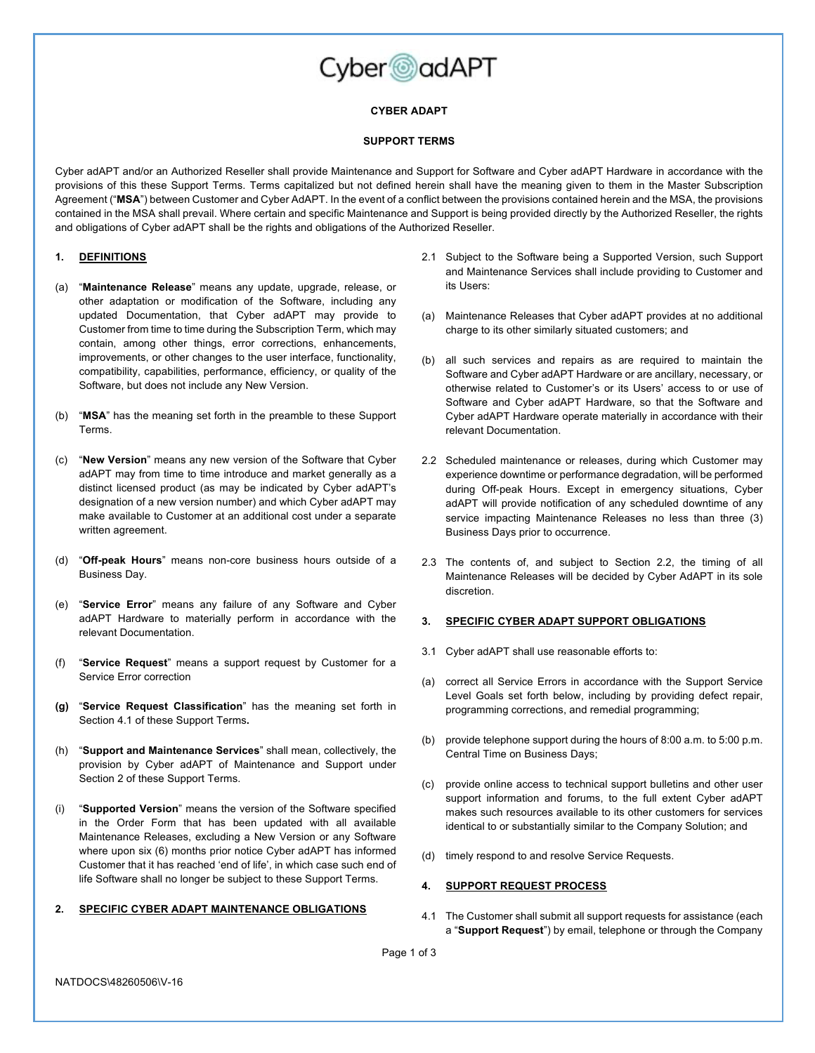

# **CYBER ADAPT**

#### **SUPPORT TERMS**

Cyber adAPT and/or an Authorized Reseller shall provide Maintenance and Support for Software and Cyber adAPT Hardware in accordance with the provisions of this these Support Terms. Terms capitalized but not defined herein shall have the meaning given to them in the Master Subscription Agreement ("**MSA**") between Customer and Cyber AdAPT. In the event of a conflict between the provisions contained herein and the MSA, the provisions contained in the MSA shall prevail. Where certain and specific Maintenance and Support is being provided directly by the Authorized Reseller, the rights and obligations of Cyber adAPT shall be the rights and obligations of the Authorized Reseller.

### **1. DEFINITIONS**

- (a) "**Maintenance Release**" means any update, upgrade, release, or other adaptation or modification of the Software, including any updated Documentation, that Cyber adAPT may provide to Customer from time to time during the Subscription Term, which may contain, among other things, error corrections, enhancements, improvements, or other changes to the user interface, functionality, compatibility, capabilities, performance, efficiency, or quality of the Software, but does not include any New Version.
- (b) "**MSA**" has the meaning set forth in the preamble to these Support Terms.
- (c) "**New Version**" means any new version of the Software that Cyber adAPT may from time to time introduce and market generally as a distinct licensed product (as may be indicated by Cyber adAPT's designation of a new version number) and which Cyber adAPT may make available to Customer at an additional cost under a separate written agreement.
- (d) "**Off-peak Hours**" means non-core business hours outside of a Business Day.
- (e) "**Service Error**" means any failure of any Software and Cyber adAPT Hardware to materially perform in accordance with the relevant Documentation.
- (f) "**Service Request**" means a support request by Customer for a Service Error correction
- **(g)** "**Service Request Classification**" has the meaning set forth in Section 4.1 of these Support Terms**.**
- (h) "**Support and Maintenance Services**" shall mean, collectively, the provision by Cyber adAPT of Maintenance and Support under Section 2 of these Support Terms.
- (i) "**Supported Version**" means the version of the Software specified in the Order Form that has been updated with all available Maintenance Releases, excluding a New Version or any Software where upon six (6) months prior notice Cyber adAPT has informed Customer that it has reached 'end of life', in which case such end of life Software shall no longer be subject to these Support Terms.

### **2. SPECIFIC CYBER ADAPT MAINTENANCE OBLIGATIONS**

- 2.1 Subject to the Software being a Supported Version, such Support and Maintenance Services shall include providing to Customer and its Users:
- (a) Maintenance Releases that Cyber adAPT provides at no additional charge to its other similarly situated customers; and
- (b) all such services and repairs as are required to maintain the Software and Cyber adAPT Hardware or are ancillary, necessary, or otherwise related to Customer's or its Users' access to or use of Software and Cyber adAPT Hardware, so that the Software and Cyber adAPT Hardware operate materially in accordance with their relevant Documentation.
- 2.2 Scheduled maintenance or releases, during which Customer may experience downtime or performance degradation, will be performed during Off-peak Hours. Except in emergency situations, Cyber adAPT will provide notification of any scheduled downtime of any service impacting Maintenance Releases no less than three (3) Business Days prior to occurrence.
- 2.3 The contents of, and subject to Section 2.2, the timing of all Maintenance Releases will be decided by Cyber AdAPT in its sole discretion.

## **3. SPECIFIC CYBER ADAPT SUPPORT OBLIGATIONS**

- 3.1 Cyber adAPT shall use reasonable efforts to:
- (a) correct all Service Errors in accordance with the Support Service Level Goals set forth below, including by providing defect repair, programming corrections, and remedial programming;
- (b) provide telephone support during the hours of 8:00 a.m. to 5:00 p.m. Central Time on Business Days;
- (c) provide online access to technical support bulletins and other user support information and forums, to the full extent Cyber adAPT makes such resources available to its other customers for services identical to or substantially similar to the Company Solution; and
- (d) timely respond to and resolve Service Requests.

## **4. SUPPORT REQUEST PROCESS**

4.1 The Customer shall submit all support requests for assistance (each a "**Support Request**") by email, telephone or through the Company

Page 1 of 3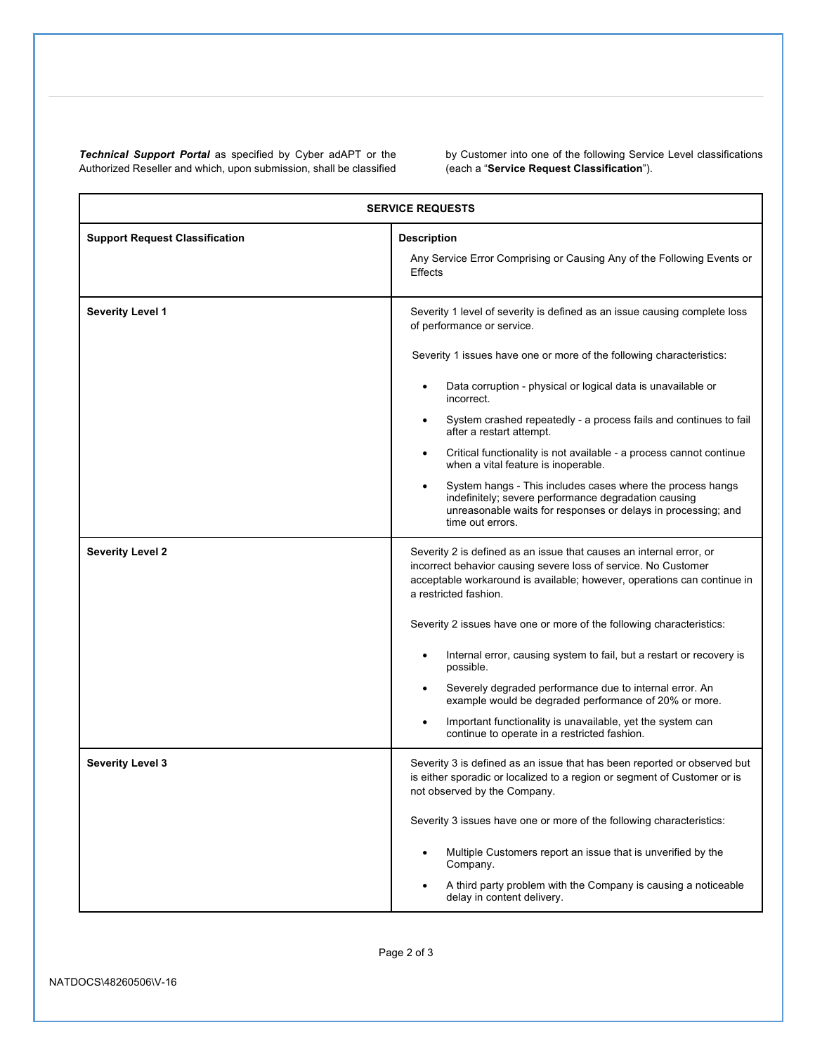*Technical Support Portal* as specified by Cyber adAPT or the Authorized Reseller and which, upon submission, shall be classified

by Customer into one of the following Service Level classifications (each a "**Service Request Classification**").

| <b>SERVICE REQUESTS</b>               |                                                                                                                                                                                                                                                                                                                                                                                                                                                                                                                                                                                                                                                                                                      |  |
|---------------------------------------|------------------------------------------------------------------------------------------------------------------------------------------------------------------------------------------------------------------------------------------------------------------------------------------------------------------------------------------------------------------------------------------------------------------------------------------------------------------------------------------------------------------------------------------------------------------------------------------------------------------------------------------------------------------------------------------------------|--|
| <b>Support Request Classification</b> | <b>Description</b><br>Any Service Error Comprising or Causing Any of the Following Events or<br><b>Effects</b>                                                                                                                                                                                                                                                                                                                                                                                                                                                                                                                                                                                       |  |
| <b>Severity Level 1</b>               | Severity 1 level of severity is defined as an issue causing complete loss<br>of performance or service.<br>Severity 1 issues have one or more of the following characteristics:<br>Data corruption - physical or logical data is unavailable or<br>incorrect.<br>System crashed repeatedly - a process fails and continues to fail<br>after a restart attempt.<br>Critical functionality is not available - a process cannot continue<br>$\bullet$<br>when a vital feature is inoperable.<br>System hangs - This includes cases where the process hangs<br>indefinitely; severe performance degradation causing<br>unreasonable waits for responses or delays in processing; and<br>time out errors. |  |
| <b>Severity Level 2</b>               | Severity 2 is defined as an issue that causes an internal error, or<br>incorrect behavior causing severe loss of service. No Customer<br>acceptable workaround is available; however, operations can continue in<br>a restricted fashion.<br>Severity 2 issues have one or more of the following characteristics:<br>Internal error, causing system to fail, but a restart or recovery is<br>possible.<br>Severely degraded performance due to internal error. An<br>example would be degraded performance of 20% or more.<br>Important functionality is unavailable, yet the system can<br>continue to operate in a restricted fashion.                                                             |  |
| <b>Severity Level 3</b>               | Severity 3 is defined as an issue that has been reported or observed but<br>is either sporadic or localized to a region or segment of Customer or is<br>not observed by the Company.<br>Severity 3 issues have one or more of the following characteristics:<br>Multiple Customers report an issue that is unverified by the<br>Company.<br>A third party problem with the Company is causing a noticeable<br>delay in content delivery.                                                                                                                                                                                                                                                             |  |